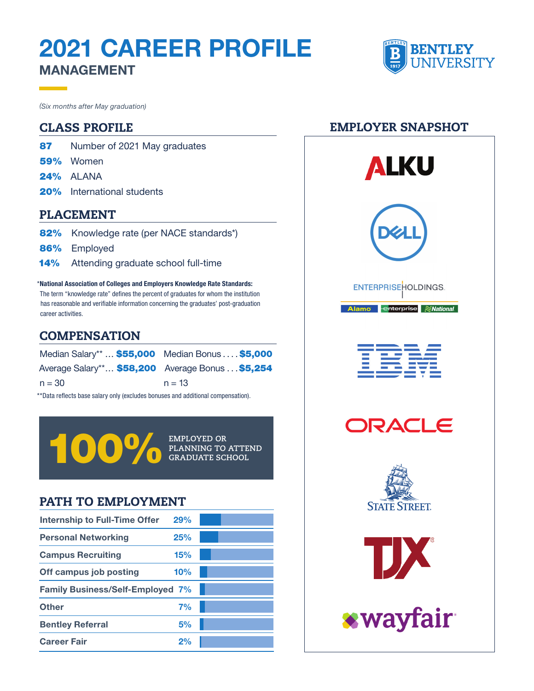# 2021 CAREER PROFILE MANAGEMENT



*(Six months after May graduation)*

#### CLASS PROFILE

- 87 Number of 2021 May graduates
- 59% Women
- 24% ALANA
- 20% International students

#### PLACEMENT

- 82% Knowledge rate (per NACE standards\*)
- 86% Employed
- 14% Attending graduate school full-time

\* National Association of Colleges and Employers Knowledge Rate Standards: The term "knowledge rate" defines the percent of graduates for whom the institution has reasonable and verifiable information concerning the graduates' post-graduation career activities.

#### **COMPENSATION**

| Median Salary**  \$55,000 Median Bonus \$5,000   |          |
|--------------------------------------------------|----------|
| Average Salary** \$58,200 Average Bonus  \$5,254 |          |
| $n = 30$                                         | $n = 13$ |

\*\*Data reflects base salary only (excludes bonuses and additional compensation).



**EMPLOYED OR** 

### PATH TO EMPLOYMENT

| Internship to Full-Time Offer           | <b>29%</b> |  |
|-----------------------------------------|------------|--|
| <b>Personal Networking</b>              | 25%        |  |
| <b>Campus Recruiting</b>                | 15%        |  |
| Off campus job posting                  | 10%        |  |
| <b>Family Business/Self-Employed 7%</b> |            |  |
| <b>Other</b>                            | 7%         |  |
| <b>Bentley Referral</b>                 | 5%         |  |
| <b>Career Fair</b>                      | 2%         |  |

#### EMPLOYER SNAPSHOT